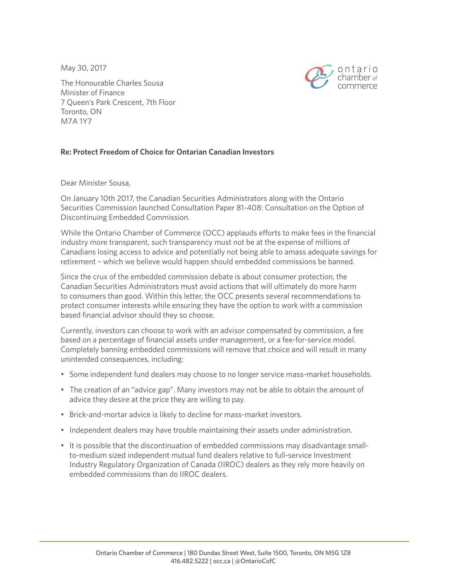May 30, 2017



The Honourable Charles Sousa Minister of Finance 7 Queen's Park Crescent, 7th Floor Toronto, ON M7A 1Y7

## **Re: Protect Freedom of Choice for Ontarian Canadian Investors**

Dear Minister Sousa,

On January 10th 2017, the Canadian Securities Administrators along with the Ontario Securities Commission launched Consultation Paper 81-408: Consultation on the Option of Discontinuing Embedded Commission.

While the Ontario Chamber of Commerce (OCC) applauds efforts to make fees in the financial industry more transparent, such transparency must not be at the expense of millions of Canadians losing access to advice and potentially not being able to amass adequate savings for retirement – which we believe would happen should embedded commissions be banned.

Since the crux of the embedded commission debate is about consumer protection, the Canadian Securities Administrators must avoid actions that will ultimately do more harm to consumers than good. Within this letter, the OCC presents several recommendations to protect consumer interests while ensuring they have the option to work with a commission based financial advisor should they so choose.

Currently, investors can choose to work with an advisor compensated by commission, a fee based on a percentage of financial assets under management, or a fee-for-service model. Completely banning embedded commissions will remove that choice and will result in many unintended consequences, including:

- Some independent fund dealers may choose to no longer service mass-market households.
- The creation of an "advice gap". Many investors may not be able to obtain the amount of advice they desire at the price they are willing to pay.
- Brick-and-mortar advice is likely to decline for mass-market investors.
- Independent dealers may have trouble maintaining their assets under administration.
- It is possible that the discontinuation of embedded commissions may disadvantage smallto-medium sized independent mutual fund dealers relative to full-service Investment Industry Regulatory Organization of Canada (IIROC) dealers as they rely more heavily on embedded commissions than do IIROC dealers.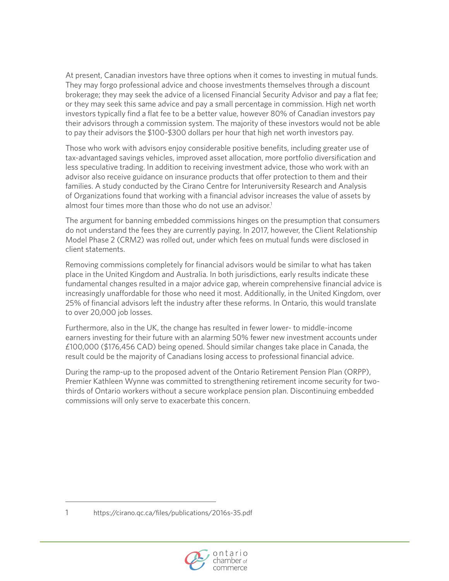At present, Canadian investors have three options when it comes to investing in mutual funds. They may forgo professional advice and choose investments themselves through a discount brokerage; they may seek the advice of a licensed Financial Security Advisor and pay a flat fee; or they may seek this same advice and pay a small percentage in commission. High net worth investors typically find a flat fee to be a better value, however 80% of Canadian investors pay their advisors through a commission system. The majority of these investors would not be able to pay their advisors the \$100-\$300 dollars per hour that high net worth investors pay.

Those who work with advisors enjoy considerable positive benefits, including greater use of tax-advantaged savings vehicles, improved asset allocation, more portfolio diversification and less speculative trading. In addition to receiving investment advice, those who work with an advisor also receive guidance on insurance products that offer protection to them and their families. A study conducted by the Cirano Centre for Interuniversity Research and Analysis of Organizations found that working with a financial advisor increases the value of assets by almost four times more than those who do not use an advisor.<sup>1</sup>

The argument for banning embedded commissions hinges on the presumption that consumers do not understand the fees they are currently paying. In 2017, however, the Client Relationship Model Phase 2 (CRM2) was rolled out, under which fees on mutual funds were disclosed in client statements.

Removing commissions completely for financial advisors would be similar to what has taken place in the United Kingdom and Australia. In both jurisdictions, early results indicate these fundamental changes resulted in a major advice gap, wherein comprehensive financial advice is increasingly unaffordable for those who need it most. Additionally, in the United Kingdom, over 25% of financial advisors left the industry after these reforms. In Ontario, this would translate to over 20,000 job losses.

Furthermore, also in the UK, the change has resulted in fewer lower- to middle-income earners investing for their future with an alarming 50% fewer new investment accounts under £100,000 (\$176,456 CAD) being opened. Should similar changes take place in Canada, the result could be the majority of Canadians losing access to professional financial advice.

During the ramp-up to the proposed advent of the Ontario Retirement Pension Plan (ORPP), Premier Kathleen Wynne was committed to strengthening retirement income security for twothirds of Ontario workers without a secure workplace pension plan. Discontinuing embedded commissions will only serve to exacerbate this concern.



<sup>1</sup> <https://cirano.qc.ca/files/publications/2016s-35.pdf>